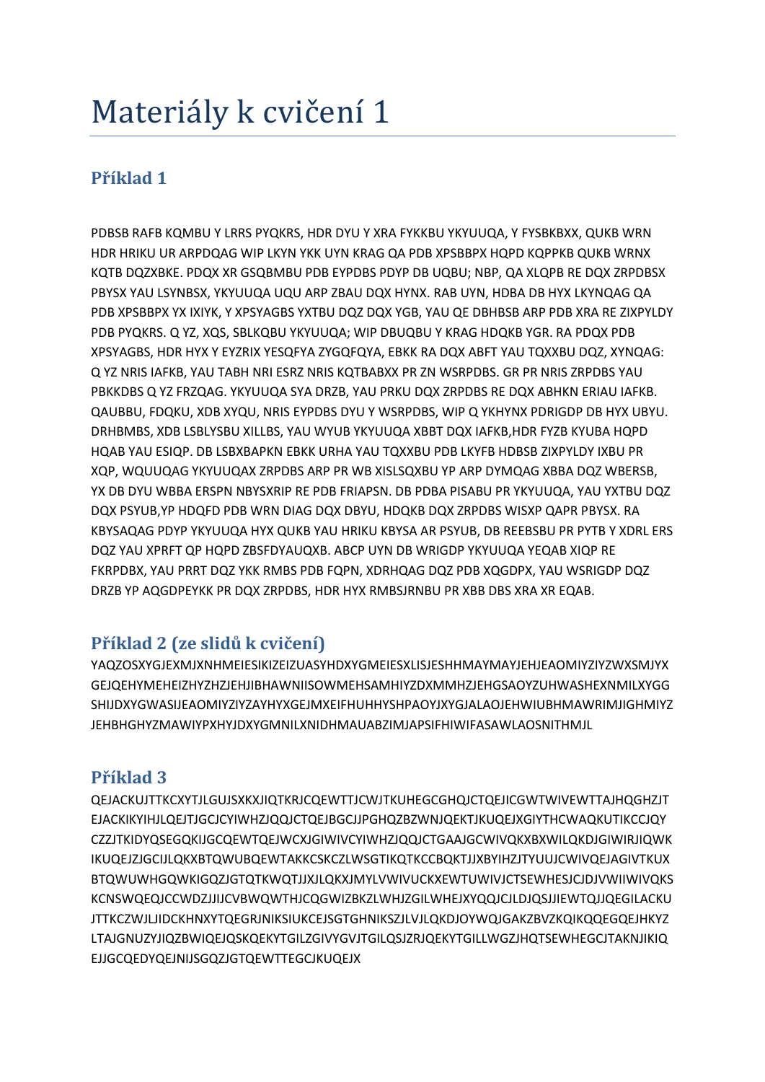# Materiály k cvičení 1

## **Příklad 1**

PDBSB RAFB KQMBU Y LRRS PYQKRS, HDR DYU Y XRA FYKKBU YKYUUQA, Y FYSBKBXX, QUKB WRN HDR HRIKU UR ARPDQAG WIP LKYN YKK UYN KRAG QA PDB XPSBBPX HQPD KQPPKB QUKB WRNX KQTB DQZXBKE. PDQX XR GSQBMBU PDB EYPDBS PDYP DB UQBU; NBP, QA XLQPB RE DQX ZRPDBSX PBYSX YAU LSYNBSX, YKYUUQA UQU ARP ZBAU DQX HYNX. RAB UYN, HDBA DB HYX LKYNQAG QA PDB XPSBBPX YX IXIYK, Y XPSYAGBS YXTBU DQZ DQX YGB, YAU QE DBHBSB ARP PDB XRA RE ZIXPYLDY PDB PYQKRS. Q YZ, XQS, SBLKQBU YKYUUQA; WIP DBUQBU Y KRAG HDQKB YGR. RA PDQX PDB XPSYAGBS, HDR HYX Y EYZRIX YESQFYA ZYGQFQYA, EBKK RA DQX ABFT YAU TQXXBU DQZ, XYNQAG: Q YZ NRIS IAFKB, YAU TABH NRI ESRZ NRIS KQTBABXX PR ZN WSRPDBS. GR PR NRIS ZRPDBS YAU PBKKDBS Q YZ FRZQAG. YKYUUQA SYA DRZB, YAU PRKU DQX ZRPDBS RE DQX ABHKN ERIAU IAFKB. QAUBBU, FDQKU, XDB XYQU, NRIS EYPDBS DYU Y WSRPDBS, WIP Q YKHYNX PDRIGDP DB HYX UBYU. DRHBMBS, XDB LSBLYSBU XILLBS, YAU WYUB YKYUUQA XBBT DQX IAFKB,HDR FYZB KYUBA HQPD HQAB YAU ESIQP. DB LSBXBAPKN EBKK URHA YAU TQXXBU PDB LKYFB HDBSB ZIXPYLDY IXBU PR XQP, WQUUQAG YKYUUQAX ZRPDBS ARP PR WB XISLSQXBU YP ARP DYMQAG XBBA DQZ WBERSB, YX DB DYU WBBA ERSPN NBYSXRIP RE PDB FRIAPSN. DB PDBA PISABU PR YKYUUQA, YAU YXTBU DQZ DQX PSYUB,YP HDQFD PDB WRN DIAG DQX DBYU, HDQKB DQX ZRPDBS WISXP QAPR PBYSX. RA KBYSAQAG PDYP YKYUUQA HYX QUKB YAU HRIKU KBYSA AR PSYUB, DB REEBSBU PR PYTB Y XDRL ERS DQZ YAU XPRFT QP HQPD ZBSFDYAUQXB. ABCP UYN DB WRIGDP YKYUUQA YEQAB XIQP RE FKRPDBX, YAU PRRT DQZ YKK RMBS PDB FQPN, XDRHQAG DQZ PDB XQGDPX, YAU WSRIGDP DQZ DRZB YP AQGDPEYKK PR DQX ZRPDBS, HDR HYX RMBSJRNBU PR XBB DBS XRA XR EQAB.

## **Příklad 2 (ze slidů k cvičení)**

YAQZOSXYGJEXMJXNHMEIESIKIZEIZUASYHDXYGMEIESXLISJESHHMAYMAYJEHJEAOMIYZIYZWXSMJYX GEJQEHYMEHEIZHYZHZJEHJIBHAWNIISOWMEHSAMHIYZDXMMHZJEHGSAOYZUHWASHEXNMILXYGG SHIJDXYGWASIJEAOMIYZIYZAYHYXGEJMXEIFHUHHYSHPAOYJXYGJALAOJEHWIUBHMAWRIMJIGHMIYZ JEHBHGHYZMAWIYPXHYJDXYGMNILXNIDHMAUABZIMJAPSIFHIWIFASAWLAOSNITHMJL

### **Příklad 3**

QEJACKUJTTKCXYTJLGUJSXKXJIQTKRJCQEWTTJCWJTKUHEGCGHQJCTQEJICGWTWIVEWTTAJHQGHZJT EJACKIKYIHJLQEJTJGCJCYIWHZJQQJCTQEJBGCJJPGHQZBZWNJQEKTJKUQEJXGIYTHCWAQKUTIKCCJQY CZZJTKIDYQSEGQKIJGCQEWTQEJWCXJGIWIVCYIWHZJQQJCTGAAJGCWIVQKXBXWILQKDJGIWIRJIQWK IKUQEJZJGCIJLQKXBTQWUBQEWTAKKCSKCZLWSGTIKQTKCCBQKTJJXBYIHZJTYUUJCWIVQEJAGIVTKUX BTQWUWHGQWKIGQZJGTQTKWQTJJXJLQKXJMYLVWIVUCKXEWTUWIVJCTSEWHESJCJDJVWIIWIVQKS KCNSWQEQJCCWDZJJIJCVBWQWTHJCQGWIZBKZLWHJZGILWHEJXYQQJCJLDJQSJJIEWTQJJQEGILACKU JTTKCZWJLJIDCKHNXYTQEGRJNIKSIUKCEJSGTGHNIKSZJLVJLQKDJOYWQJGAKZBVZKQIKQQEGQEJHKYZ LTAJGNUZYJIQZBWIQEJQSKQEKYTGILZGIVYGVJTGILQSJZRJQEKYTGILLWGZJHQTSEWHEGCJTAKNJIKIQ EJJGCQEDYQEJNIJSGQZJGTQEWTTEGCJKUQEJX